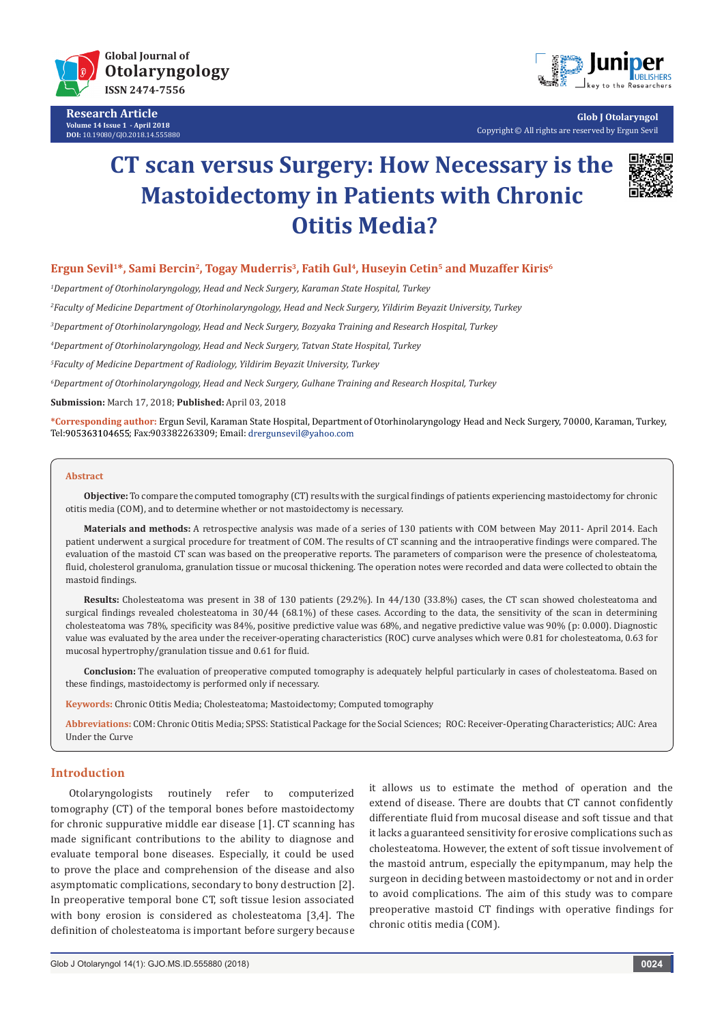

**Research Article Volume 14 Issue 1 - April 2018 DOI:** [10.19080/GJO.2018.14.555880](http://dx.doi.org/10.19080/GJO.2018.14.555880)



**Glob J Otolaryngol** Copyright © All rights are reserved by Ergun Sevil

# **CT scan versus Surgery: How Necessary is the Mastoidectomy in Patients with Chronic Otitis Media?**



## **Ergun Sevil<sup>1\*</sup>, Sami Bercin<sup>2</sup>, Togay Muderris<sup>3</sup>, Fatih Gul<sup>4</sup>, Huseyin Cetin<sup>5</sup> and Muzaffer Kiris<sup>6</sup>**

*1 Department of Otorhinolaryngology, Head and Neck Surgery, Karaman State Hospital, Turkey*

*2 Faculty of Medicine Department of Otorhinolaryngology, Head and Neck Surgery, Yildirim Beyazit University, Turkey*

*3 Department of Otorhinolaryngology, Head and Neck Surgery, Bozyaka Training and Research Hospital, Turkey*

*4 Department of Otorhinolaryngology, Head and Neck Surgery, Tatvan State Hospital, Turkey*

*5 Faculty of Medicine Department of Radiology, Yildirim Beyazit University, Turkey*

*6 Department of Otorhinolaryngology, Head and Neck Surgery, Gulhane Training and Research Hospital, Turkey*

**Submission:** March 17, 2018; **Published:** April 03, 2018

**\*Corresponding author:** Ergun Sevil, Karaman State Hospital, Department of Otorhinolaryngology Head and Neck Surgery, 70000, Karaman, Turkey, Tel: 905363104655; Fax: 903382263309; Email: drergunsevil@yahoo.com

#### **Abstract**

**Objective:** To compare the computed tomography (CT) results with the surgical findings of patients experiencing mastoidectomy for chronic otitis media (COM), and to determine whether or not mastoidectomy is necessary.

**Materials and methods:** A retrospective analysis was made of a series of 130 patients with COM between May 2011- April 2014. Each patient underwent a surgical procedure for treatment of COM. The results of CT scanning and the intraoperative findings were compared. The evaluation of the mastoid CT scan was based on the preoperative reports. The parameters of comparison were the presence of cholesteatoma, fluid, cholesterol granuloma, granulation tissue or mucosal thickening. The operation notes were recorded and data were collected to obtain the mastoid findings.

**Results:** Cholesteatoma was present in 38 of 130 patients (29.2%). In 44/130 (33.8%) cases, the CT scan showed cholesteatoma and surgical findings revealed cholesteatoma in 30/44 (68.1%) of these cases. According to the data, the sensitivity of the scan in determining cholesteatoma was 78%, specificity was 84%, positive predictive value was 68%, and negative predictive value was 90% (p: 0.000). Diagnostic value was evaluated by the area under the receiver-operating characteristics (ROC) curve analyses which were 0.81 for cholesteatoma, 0.63 for mucosal hypertrophy/granulation tissue and 0.61 for fluid.

**Conclusion:** The evaluation of preoperative computed tomography is adequately helpful particularly in cases of cholesteatoma. Based on these findings, mastoidectomy is performed only if necessary.

**Keywords:** Chronic Otitis Media; Cholesteatoma; Mastoidectomy; Computed tomography

**Abbreviations:** COM: Chronic Otitis Media; SPSS: Statistical Package for the Social Sciences; ROC: Receiver-Operating Characteristics; AUC: Area Under the Curve

## **Introduction**

Otolaryngologists routinely refer to computerized tomography (CT) of the temporal bones before mastoidectomy for chronic suppurative middle ear disease [1]. CT scanning has made significant contributions to the ability to diagnose and evaluate temporal bone diseases. Especially, it could be used to prove the place and comprehension of the disease and also asymptomatic complications, secondary to bony destruction [2]. In preoperative temporal bone CT, soft tissue lesion associated with bony erosion is considered as cholesteatoma [3,4]. The definition of cholesteatoma is important before surgery because

it allows us to estimate the method of operation and the extend of disease. There are doubts that CT cannot confidently differentiate fluid from mucosal disease and soft tissue and that it lacks a guaranteed sensitivity for erosive complications such as cholesteatoma. However, the extent of soft tissue involvement of the mastoid antrum, especially the epitympanum, may help the surgeon in deciding between mastoidectomy or not and in order to avoid complications. The aim of this study was to compare preoperative mastoid CT findings with operative findings for chronic otitis media (COM).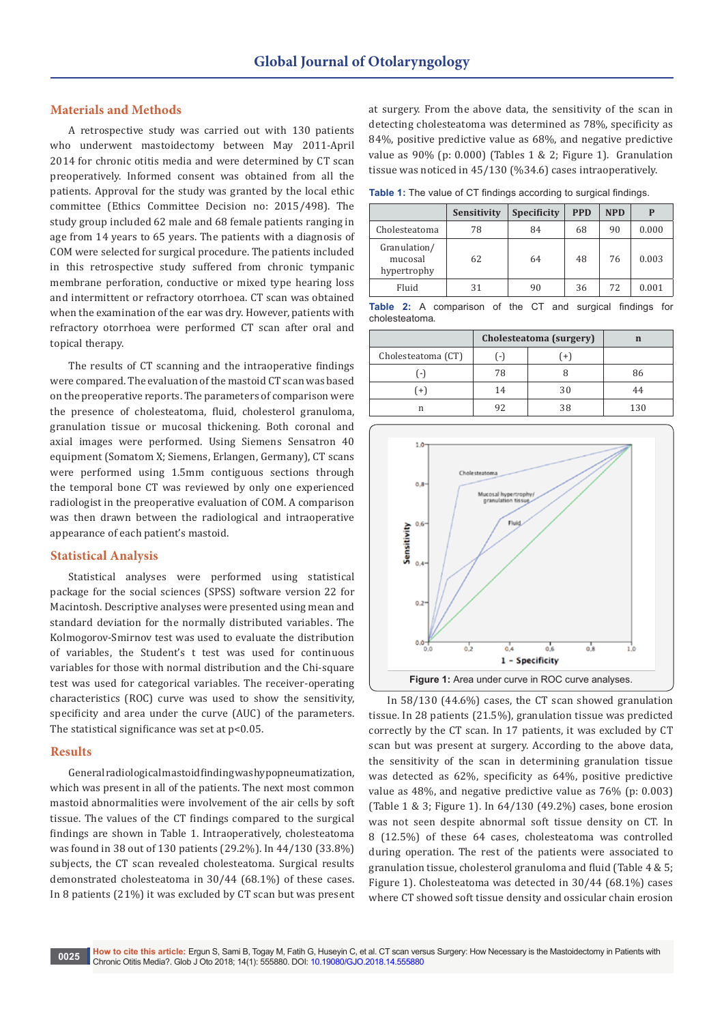### **Materials and Methods**

A retrospective study was carried out with 130 patients who underwent mastoidectomy between May 2011-April 2014 for chronic otitis media and were determined by CT scan preoperatively. Informed consent was obtained from all the patients. Approval for the study was granted by the local ethic committee (Ethics Committee Decision no: 2015/498). The study group included 62 male and 68 female patients ranging in age from 14 years to 65 years. The patients with a diagnosis of COM were selected for surgical procedure. The patients included in this retrospective study suffered from chronic tympanic membrane perforation, conductive or mixed type hearing loss and intermittent or refractory otorrhoea. CT scan was obtained when the examination of the ear was dry. However, patients with refractory otorrhoea were performed CT scan after oral and topical therapy.

The results of CT scanning and the intraoperative findings were compared. The evaluation of the mastoid CT scan was based on the preoperative reports. The parameters of comparison were the presence of cholesteatoma, fluid, cholesterol granuloma, granulation tissue or mucosal thickening. Both coronal and axial images were performed. Using Siemens Sensatron 40 equipment (Somatom X; Siemens, Erlangen, Germany), CT scans were performed using 1.5mm contiguous sections through the temporal bone CT was reviewed by only one experienced radiologist in the preoperative evaluation of COM. A comparison was then drawn between the radiological and intraoperative appearance of each patient's mastoid.

### **Statistical Analysis**

Statistical analyses were performed using statistical package for the social sciences (SPSS) software version 22 for Macintosh. Descriptive analyses were presented using mean and standard deviation for the normally distributed variables. The Kolmogorov-Smirnov test was used to evaluate the distribution of variables, the Student's t test was used for continuous variables for those with normal distribution and the Chi-square test was used for categorical variables. The receiver-operating characteristics (ROC) curve was used to show the sensitivity, specificity and area under the curve (AUC) of the parameters. The statistical significance was set at  $p<0.05$ .

#### **Results**

General radiological mastoid finding was hypopneumatization, which was present in all of the patients. The next most common mastoid abnormalities were involvement of the air cells by soft tissue. The values of the CT findings compared to the surgical findings are shown in Table 1. Intraoperatively, cholesteatoma was found in 38 out of 130 patients (29.2%). In 44/130 (33.8%) subjects, the CT scan revealed cholesteatoma. Surgical results demonstrated cholesteatoma in 30/44 (68.1%) of these cases. In 8 patients (21%) it was excluded by CT scan but was present at surgery. From the above data, the sensitivity of the scan in detecting cholesteatoma was determined as 78%, specificity as 84%, positive predictive value as 68%, and negative predictive value as 90% (p: 0.000) (Tables 1 & 2; Figure 1). Granulation tissue was noticed in 45/130 (%34.6) cases intraoperatively.

**Table 1:** The value of CT findings according to surgical findings.

|                                        | Sensitivity | <b>Specificity</b> | <b>PPD</b> | <b>NPD</b> | P     |
|----------------------------------------|-------------|--------------------|------------|------------|-------|
| Cholesteatoma                          | 78          | 84                 | 68         | 90         | 0.000 |
| Granulation/<br>mucosal<br>hypertrophy | 62          | 64                 | 48         | 76         | 0.003 |
| Fluid                                  | 31          | 90                 | 36         | 72         | 0.001 |

**Table 2:** A comparison of the CT and surgical findings for cholesteatoma.

|                    | Cholesteatoma (surgery)  |        |     |
|--------------------|--------------------------|--------|-----|
| Cholesteatoma (CT) | $\overline{\phantom{a}}$ | $^{+}$ |     |
|                    | 78                       |        | 86  |
| $^{+}$             | 14                       | 30     | 44  |
| n                  | 92                       | 38     | 130 |



In 58/130 (44.6%) cases, the CT scan showed granulation tissue. In 28 patients (21.5%), granulation tissue was predicted correctly by the CT scan. In 17 patients, it was excluded by CT scan but was present at surgery. According to the above data, the sensitivity of the scan in determining granulation tissue was detected as 62%, specificity as 64%, positive predictive value as 48%, and negative predictive value as 76% (p: 0.003) (Table 1 & 3; Figure 1). In 64/130 (49.2%) cases, bone erosion was not seen despite abnormal soft tissue density on CT. In 8 (12.5%) of these 64 cases, cholesteatoma was controlled during operation. The rest of the patients were associated to granulation tissue, cholesterol granuloma and fluid (Table 4 & 5; Figure 1). Cholesteatoma was detected in 30/44 (68.1%) cases where CT showed soft tissue density and ossicular chain erosion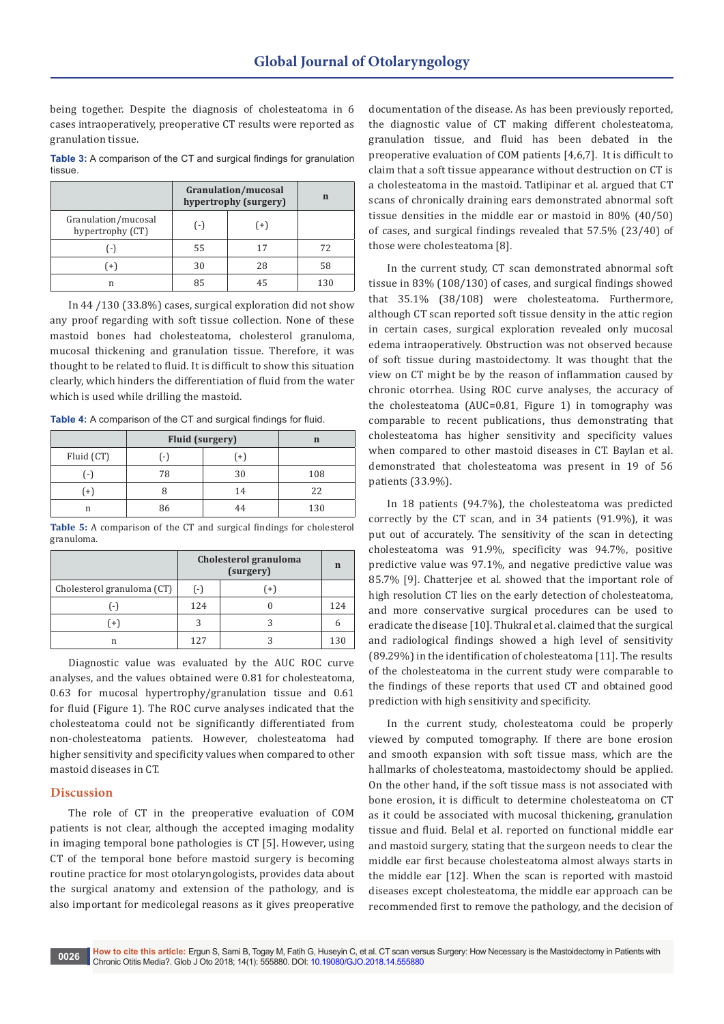being together. Despite the diagnosis of cholesteatoma in 6 cases intraoperatively, preoperative CT results were reported as granulation tissue.

**Table 3:** A comparison of the CT and surgical findings for granulation tissue.

|                                         | Granulation/mucosal<br>hypertrophy (surgery) | n     |     |
|-----------------------------------------|----------------------------------------------|-------|-----|
| Granulation/mucosal<br>hypertrophy (CT) | $(-)$                                        | $(+)$ |     |
| $1 - x$                                 | 55                                           | 17    | 72  |
| $^{\prime}$ +                           | 30                                           | 28    | 58  |
| n                                       | 85                                           | 45    | 130 |

In 44 /130 (33.8%) cases, surgical exploration did not show any proof regarding with soft tissue collection. None of these mastoid bones had cholesteatoma, cholesterol granuloma, mucosal thickening and granulation tissue. Therefore, it was thought to be related to fluid. It is difficult to show this situation clearly, which hinders the differentiation of fluid from the water which is used while drilling the mastoid.

**Table 4:** A comparison of the CT and surgical findings for fluid.

|            | <b>Fluid (surgery)</b> |           |     |
|------------|------------------------|-----------|-----|
| Fluid (CT) |                        | $\ddot{}$ |     |
|            | 78                     | 30        | 108 |
|            |                        | 14        | 22  |
| n          | 86                     | 44        | 130 |

**Table 5:** A comparison of the CT and surgical findings for cholesterol granuloma.

|                            | Cholesterol granuloma | $\mathbf n$ |                 |
|----------------------------|-----------------------|-------------|-----------------|
| Cholesterol granuloma (CT) | $(-)$                 | $(+)$       |                 |
| ۰.)                        | 124                   |             | 124             |
| $+1$                       |                       |             |                 |
| n                          | 127                   |             | 13 <sub>C</sub> |

Diagnostic value was evaluated by the AUC ROC curve analyses, and the values obtained were 0.81 for cholesteatoma, 0.63 for mucosal hypertrophy/granulation tissue and 0.61 for fluid (Figure 1). The ROC curve analyses indicated that the cholesteatoma could not be significantly differentiated from non-cholesteatoma patients. However, cholesteatoma had higher sensitivity and specificity values when compared to other mastoid diseases in CT.

## **Discussion**

The role of CT in the preoperative evaluation of COM patients is not clear, although the accepted imaging modality in imaging temporal bone pathologies is CT [5]. However, using CT of the temporal bone before mastoid surgery is becoming routine practice for most otolaryngologists, provides data about the surgical anatomy and extension of the pathology, and is also important for medicolegal reasons as it gives preoperative

documentation of the disease. As has been previously reported, the diagnostic value of CT making different cholesteatoma, granulation tissue, and fluid has been debated in the preoperative evaluation of COM patients [4,6,7]. It is difficult to claim that a soft tissue appearance without destruction on CT is a cholesteatoma in the mastoid. Tatlipinar et al. argued that CT scans of chronically draining ears demonstrated abnormal soft tissue densities in the middle ear or mastoid in 80% (40/50) of cases, and surgical findings revealed that 57.5% (23/40) of those were cholesteatoma [8].

In the current study, CT scan demonstrated abnormal soft tissue in 83% (108/130) of cases, and surgical findings showed that 35.1% (38/108) were cholesteatoma. Furthermore, although CT scan reported soft tissue density in the attic region in certain cases, surgical exploration revealed only mucosal edema intraoperatively. Obstruction was not observed because of soft tissue during mastoidectomy. It was thought that the view on CT might be by the reason of inflammation caused by chronic otorrhea. Using ROC curve analyses, the accuracy of the cholesteatoma (AUC=0.81, Figure 1) in tomography was comparable to recent publications, thus demonstrating that cholesteatoma has higher sensitivity and specificity values when compared to other mastoid diseases in CT. Baylan et al. demonstrated that cholesteatoma was present in 19 of 56 patients (33.9%).

In 18 patients (94.7%), the cholesteatoma was predicted correctly by the CT scan, and in 34 patients (91.9%), it was put out of accurately. The sensitivity of the scan in detecting cholesteatoma was 91.9%, specificity was 94.7%, positive predictive value was 97.1%, and negative predictive value was 85.7% [9]. Chatterjee et al. showed that the important role of high resolution CT lies on the early detection of cholesteatoma, and more conservative surgical procedures can be used to eradicate the disease [10]. Thukral et al. claimed that the surgical and radiological findings showed a high level of sensitivity (89.29%) in the identification of cholesteatoma [11]. The results of the cholesteatoma in the current study were comparable to the findings of these reports that used CT and obtained good prediction with high sensitivity and specificity.

In the current study, cholesteatoma could be properly viewed by computed tomography. If there are bone erosion and smooth expansion with soft tissue mass, which are the hallmarks of cholesteatoma, mastoidectomy should be applied. On the other hand, if the soft tissue mass is not associated with bone erosion, it is difficult to determine cholesteatoma on CT as it could be associated with mucosal thickening, granulation tissue and fluid. Belal et al. reported on functional middle ear and mastoid surgery, stating that the surgeon needs to clear the middle ear first because cholesteatoma almost always starts in the middle ear [12]. When the scan is reported with mastoid diseases except cholesteatoma, the middle ear approach can be recommended first to remove the pathology, and the decision of